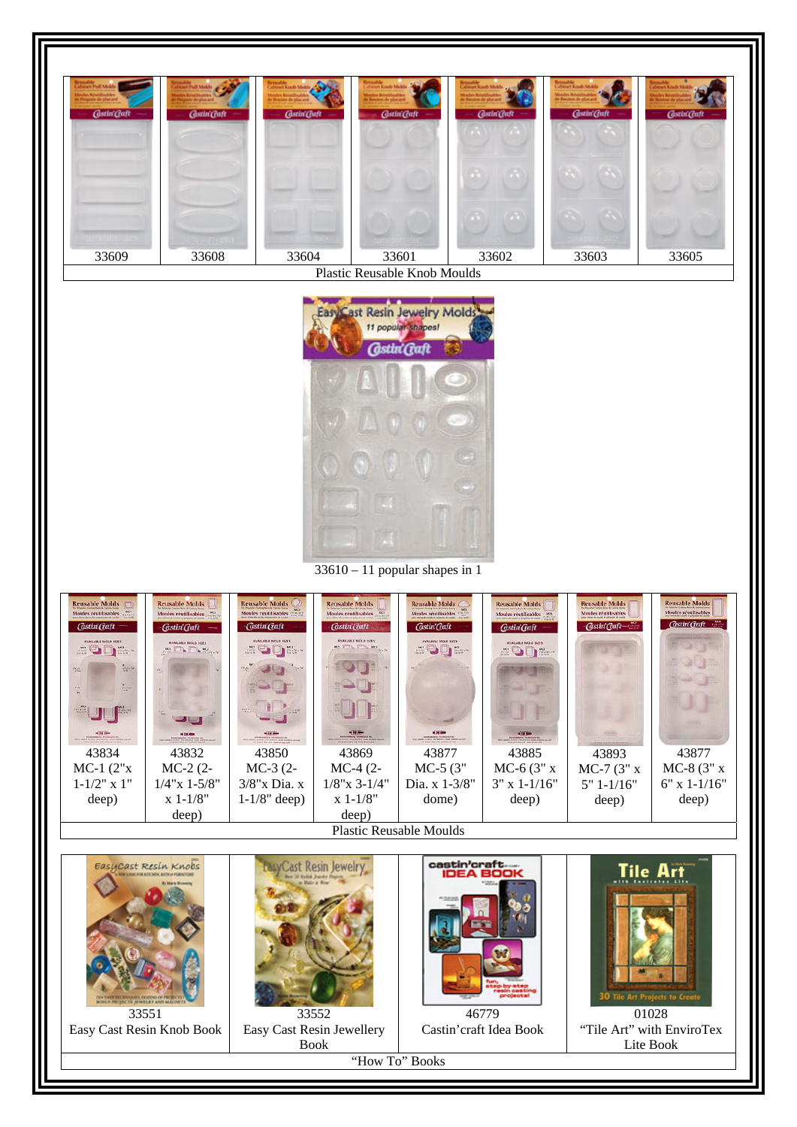